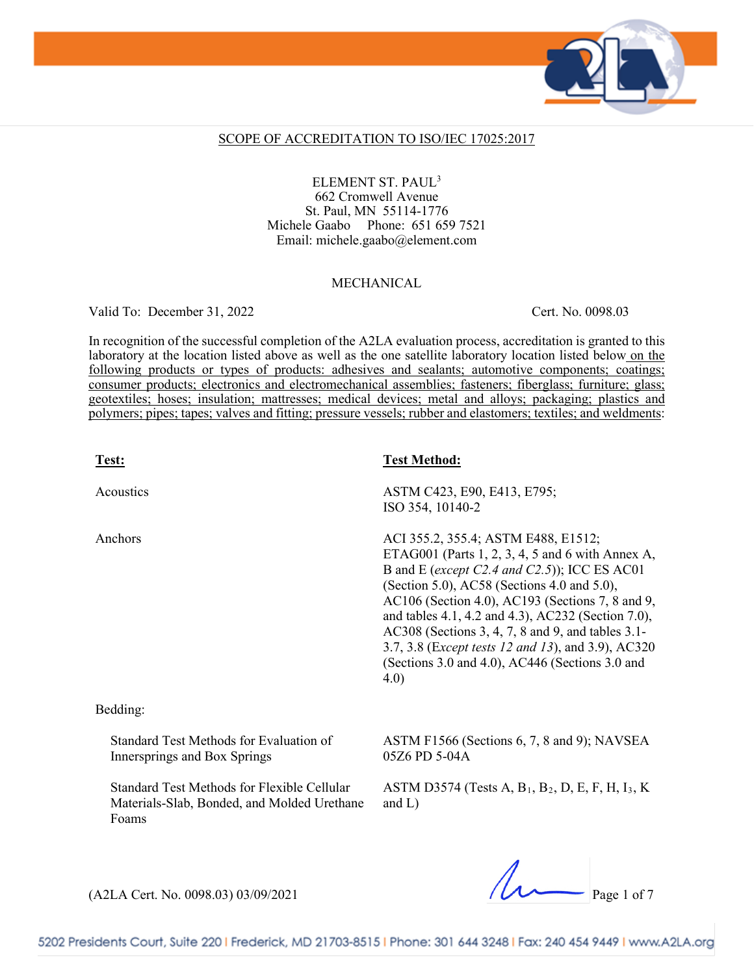

#### SCOPE OF ACCREDITATION TO ISO/IEC 17025:2017

ELEMENT ST. PAUL3 662 Cromwell Avenue St. Paul, MN 55114-1776 Michele Gaabo Phone: 651 659 7521 Email: michele.gaabo@element.com

#### MECHANICAL

Valid To: December 31, 2022 Cert. No. 0098.03

In recognition of the successful completion of the A2LA evaluation process, accreditation is granted to this laboratory at the location listed above as well as the one satellite laboratory location listed below on the following products or types of products: adhesives and sealants; automotive components; coatings; consumer products; electronics and electromechanical assemblies; fasteners; fiberglass; furniture; glass; geotextiles; hoses; insulation; mattresses; medical devices; metal and alloys; packaging; plastics and polymers; pipes; tapes; valves and fitting; pressure vessels; rubber and elastomers; textiles; and weldments:

| Test:                                                                                               | <b>Test Method:</b>                                                                                                                                                                                                                                                                                                                                                                                                                                                    |
|-----------------------------------------------------------------------------------------------------|------------------------------------------------------------------------------------------------------------------------------------------------------------------------------------------------------------------------------------------------------------------------------------------------------------------------------------------------------------------------------------------------------------------------------------------------------------------------|
| Acoustics                                                                                           | ASTM C423, E90, E413, E795;<br>ISO 354, 10140-2                                                                                                                                                                                                                                                                                                                                                                                                                        |
| Anchors                                                                                             | ACI 355.2, 355.4; ASTM E488, E1512;<br>ETAG001 (Parts 1, 2, 3, 4, 5 and 6 with Annex A,<br>B and E (except C2.4 and C2.5)); ICC ES AC01<br>(Section 5.0), AC58 (Sections 4.0 and 5.0),<br>AC106 (Section 4.0), AC193 (Sections 7, 8 and 9,<br>and tables 4.1, 4.2 and 4.3), AC232 (Section 7.0),<br>AC308 (Sections 3, 4, 7, 8 and 9, and tables 3.1-<br>3.7, 3.8 (Except tests 12 and 13), and 3.9), AC320<br>(Sections 3.0 and 4.0), AC446 (Sections 3.0 and<br>4.0) |
| Bedding:                                                                                            |                                                                                                                                                                                                                                                                                                                                                                                                                                                                        |
| Standard Test Methods for Evaluation of<br>Innersprings and Box Springs                             | ASTM F1566 (Sections 6, 7, 8 and 9); NAVSEA<br>05Z6 PD 5-04A                                                                                                                                                                                                                                                                                                                                                                                                           |
| Standard Test Methods for Flexible Cellular<br>Materials-Slab, Bonded, and Molded Urethane<br>Foams | ASTM D3574 (Tests A, $B_1$ , $B_2$ , D, E, F, H, I <sub>3</sub> , K)<br>and $L$ )                                                                                                                                                                                                                                                                                                                                                                                      |
|                                                                                                     |                                                                                                                                                                                                                                                                                                                                                                                                                                                                        |

 $(A2LA$  Cert. No. 0098.03) 03/09/2021 Page 1 of 7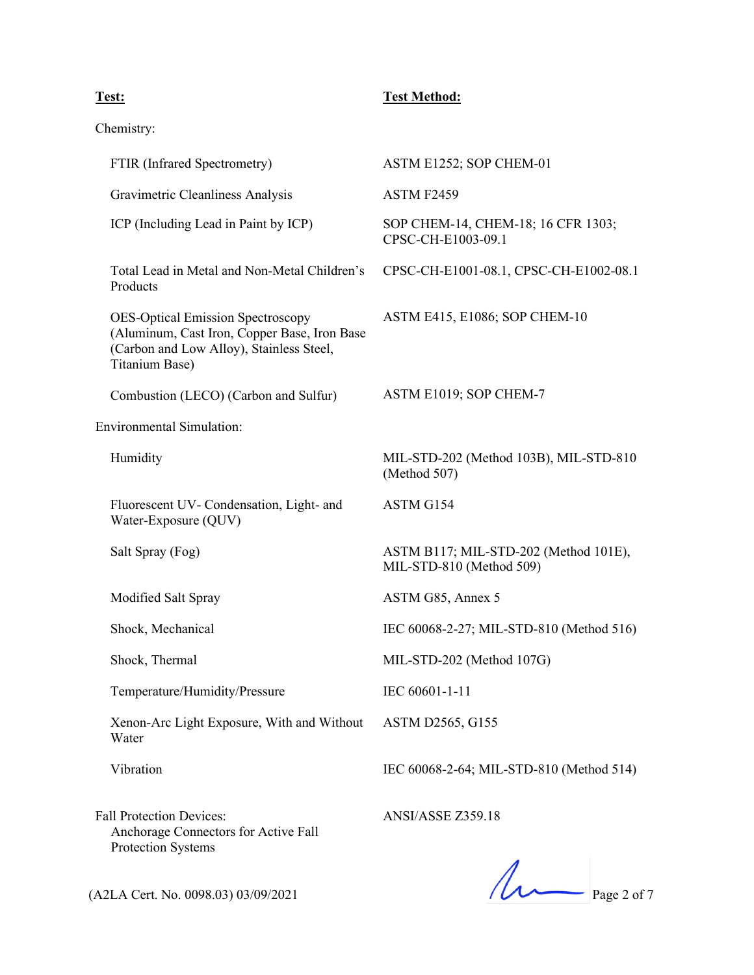### **Test: Test Method:**

Chemistry:

| FTIR (Infrared Spectrometry)                                                                                                                           | ASTM E1252; SOP CHEM-01                                           |
|--------------------------------------------------------------------------------------------------------------------------------------------------------|-------------------------------------------------------------------|
| Gravimetric Cleanliness Analysis                                                                                                                       | ASTM F2459                                                        |
| ICP (Including Lead in Paint by ICP)                                                                                                                   | SOP CHEM-14, CHEM-18; 16 CFR 1303;<br>CPSC-CH-E1003-09.1          |
| Total Lead in Metal and Non-Metal Children's<br>Products                                                                                               | CPSC-CH-E1001-08.1, CPSC-CH-E1002-08.1                            |
| <b>OES-Optical Emission Spectroscopy</b><br>(Aluminum, Cast Iron, Copper Base, Iron Base<br>(Carbon and Low Alloy), Stainless Steel,<br>Titanium Base) | ASTM E415, E1086; SOP CHEM-10                                     |
| Combustion (LECO) (Carbon and Sulfur)                                                                                                                  | ASTM E1019; SOP CHEM-7                                            |
| <b>Environmental Simulation:</b>                                                                                                                       |                                                                   |
| Humidity                                                                                                                                               | MIL-STD-202 (Method 103B), MIL-STD-810<br>(Method 507)            |
| Fluorescent UV- Condensation, Light- and<br>Water-Exposure (QUV)                                                                                       | ASTM G154                                                         |
| Salt Spray (Fog)                                                                                                                                       | ASTM B117; MIL-STD-202 (Method 101E),<br>MIL-STD-810 (Method 509) |
| Modified Salt Spray                                                                                                                                    | ASTM G85, Annex 5                                                 |
| Shock, Mechanical                                                                                                                                      | IEC 60068-2-27; MIL-STD-810 (Method 516)                          |
| Shock, Thermal                                                                                                                                         | MIL-STD-202 (Method 107G)                                         |
| Temperature/Humidity/Pressure                                                                                                                          | IEC 60601-1-11                                                    |
| Xenon-Arc Light Exposure, With and Without<br>Water                                                                                                    | ASTM D2565, G155                                                  |
| Vibration                                                                                                                                              | IEC 60068-2-64; MIL-STD-810 (Method 514)                          |
| <b>Fall Protection Devices:</b><br>Anchorage Connectors for Active Fall                                                                                | ANSI/ASSE Z359.18                                                 |

Protection Systems

(A2LA Cert. No. 0098.03) 03/09/2021 Page 2 of 7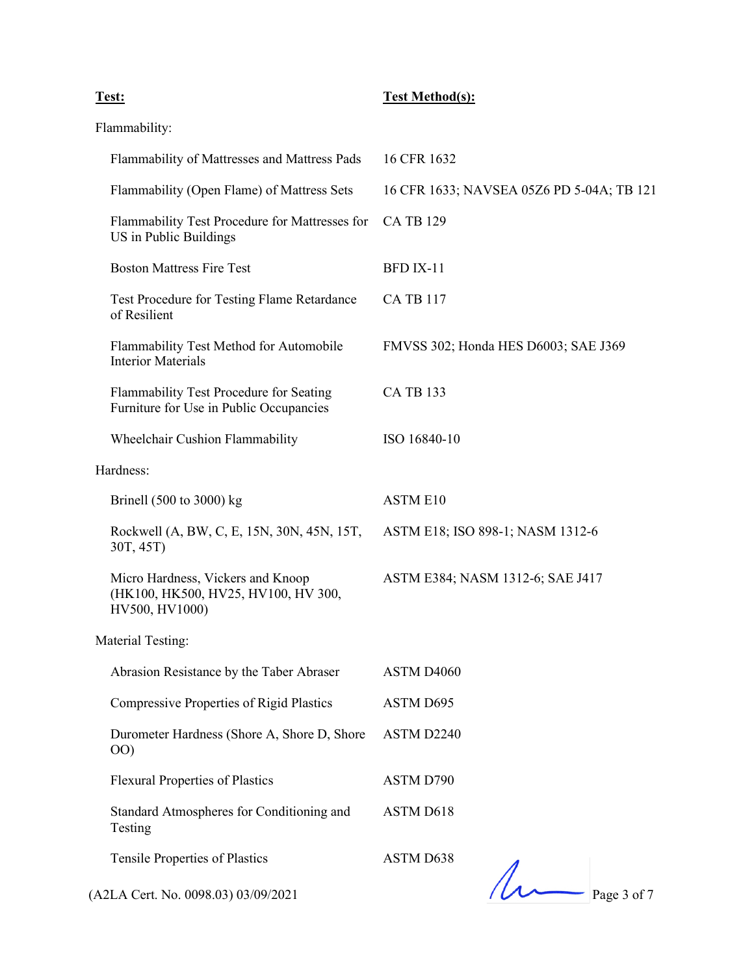### **Test: Test Method(s):**

Flammability:

| Flammability of Mattresses and Mattress Pads                                               | 16 CFR 1632                               |
|--------------------------------------------------------------------------------------------|-------------------------------------------|
| Flammability (Open Flame) of Mattress Sets                                                 | 16 CFR 1633; NAVSEA 05Z6 PD 5-04A; TB 121 |
| Flammability Test Procedure for Mattresses for<br>US in Public Buildings                   | <b>CA TB 129</b>                          |
| <b>Boston Mattress Fire Test</b>                                                           | BFD IX-11                                 |
| Test Procedure for Testing Flame Retardance<br>of Resilient                                | <b>CA TB 117</b>                          |
| Flammability Test Method for Automobile<br><b>Interior Materials</b>                       | FMVSS 302; Honda HES D6003; SAE J369      |
| Flammability Test Procedure for Seating<br>Furniture for Use in Public Occupancies         | <b>CA TB 133</b>                          |
| Wheelchair Cushion Flammability                                                            | ISO 16840-10                              |
| Hardness:                                                                                  |                                           |
| Brinell $(500 \text{ to } 3000)$ kg                                                        | <b>ASTM E10</b>                           |
| Rockwell (A, BW, C, E, 15N, 30N, 45N, 15T,<br>30T, 45T)                                    | ASTM E18; ISO 898-1; NASM 1312-6          |
| Micro Hardness, Vickers and Knoop<br>(HK100, HK500, HV25, HV100, HV 300,<br>HV500, HV1000) | ASTM E384; NASM 1312-6; SAE J417          |
| Material Testing:                                                                          |                                           |
| Abrasion Resistance by the Taber Abraser                                                   | ASTM D4060                                |
| <b>Compressive Properties of Rigid Plastics</b>                                            | ASTM D695                                 |
| Durometer Hardness (Shore A, Shore D, Shore<br>(00)                                        | ASTM D2240                                |
| <b>Flexural Properties of Plastics</b>                                                     | ASTM D790                                 |
| Standard Atmospheres for Conditioning and<br>Testing                                       | ASTM D618                                 |
| Tensile Properties of Plastics                                                             | ASTM D638                                 |
| (A2LA Cert. No. 0098.03) 03/09/2021                                                        | Page 3 of 7                               |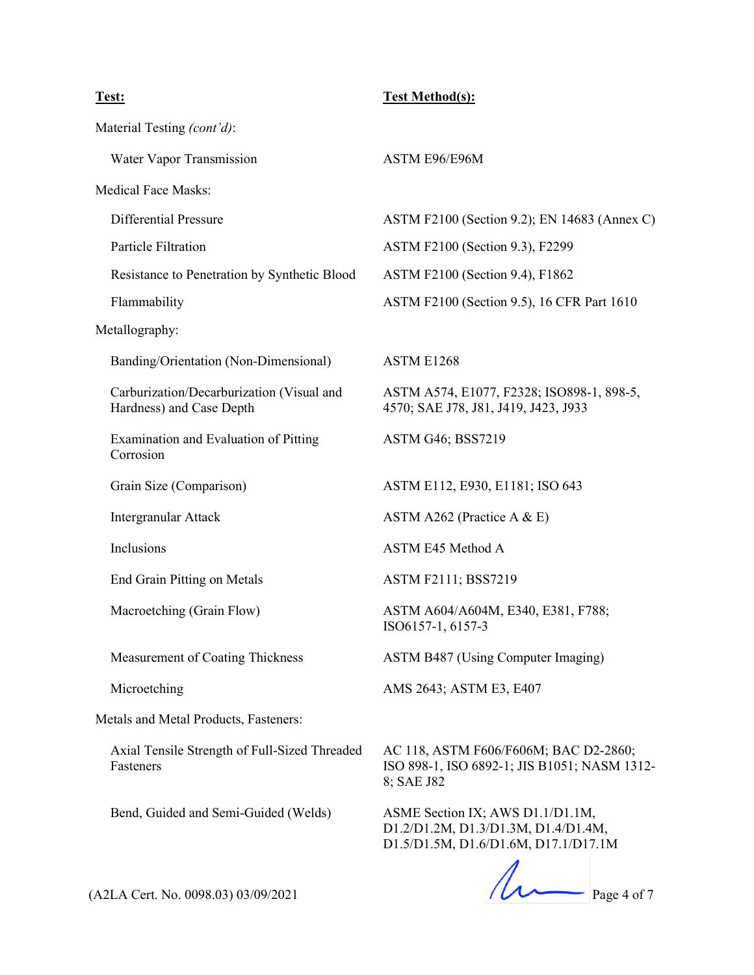# **Test: Test Method(s):**  Material Testing *(cont'd)*: Water Vapor Transmission ASTM E96/E96M Medical Face Masks: Differential Pressure ASTM F2100 (Section 9.2); EN 14683 (Annex C) Particle Filtration **ASTM F2100** (Section 9.3), F2299 Resistance to Penetration by Synthetic Blood ASTM F2100 (Section 9.4), F1862 Flammability **ASTM F2100** (Section 9.5), 16 CFR Part 1610 Metallography: Banding/Orientation (Non-Dimensional) ASTM E1268 Carburization/Decarburization (Visual and Hardness) and Case Depth ASTM A574, E1077, F2328; ISO898-1, 898-5, 4570; SAE J78, J81, J419, J423, J933 Examination and Evaluation of Pitting Corrosion ASTM G46; BSS7219 Grain Size (Comparison) **ASTM E112, E930, E1181**; ISO 643 Intergranular Attack ASTM A262 (Practice A & E) Inclusions ASTM E45 Method A End Grain Pitting on Metals ASTM F2111; BSS7219 Macroetching (Grain Flow) ASTM A604/A604M, E340, E381, F788; ISO6157-1, 6157-3 Measurement of Coating Thickness ASTM B487 (Using Computer Imaging) Microetching **AMS** 2643; ASTM E3, E407 Metals and Metal Products, Fasteners: Axial Tensile Strength of Full-Sized Threaded Fasteners AC 118, ASTM F606/F606M; BAC D2-2860; ISO 898-1, ISO 6892-1; JIS B1051; NASM 1312- 8; SAE J82 Bend, Guided and Semi-Guided (Welds) ASME Section IX; AWS D1.1/D1.1M, D1.2/D1.2M, D1.3/D1.3M, D1.4/D1.4M,

 $(12LA$  Cert. No. 0098.03) 03/09/2021 Page 4 of 7

D1.5/D1.5M, D1.6/D1.6M, D17.1/D17.1M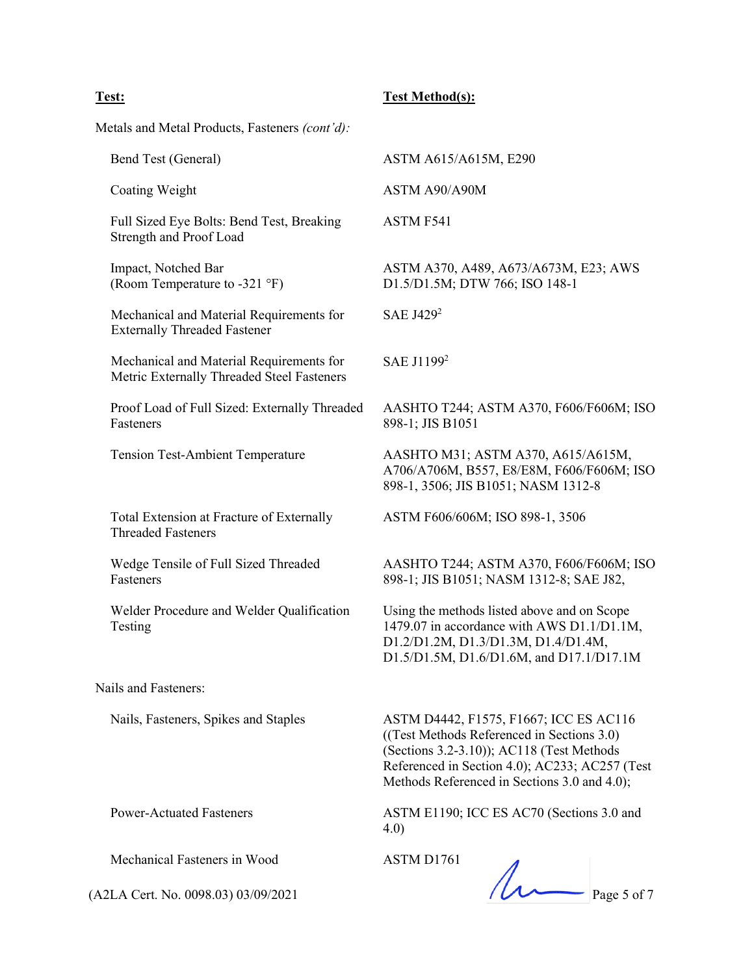### **Test: Test Method(s):**

Metals and Metal Products, Fasteners *(cont'd):*

| Bend Test (General)                                                                    | ASTM A615/A615M, E290                                                                                                                                                                                                               |  |
|----------------------------------------------------------------------------------------|-------------------------------------------------------------------------------------------------------------------------------------------------------------------------------------------------------------------------------------|--|
| Coating Weight                                                                         | ASTM A90/A90M                                                                                                                                                                                                                       |  |
| Full Sized Eye Bolts: Bend Test, Breaking<br>Strength and Proof Load                   | ASTM F541                                                                                                                                                                                                                           |  |
| Impact, Notched Bar<br>(Room Temperature to -321 °F)                                   | ASTM A370, A489, A673/A673M, E23; AWS<br>D1.5/D1.5M; DTW 766; ISO 148-1                                                                                                                                                             |  |
| Mechanical and Material Requirements for<br><b>Externally Threaded Fastener</b>        | SAE J429 <sup>2</sup>                                                                                                                                                                                                               |  |
| Mechanical and Material Requirements for<br>Metric Externally Threaded Steel Fasteners | SAE J1199 <sup>2</sup>                                                                                                                                                                                                              |  |
| Proof Load of Full Sized: Externally Threaded<br>Fasteners                             | AASHTO T244; ASTM A370, F606/F606M; ISO<br>898-1; JIS B1051                                                                                                                                                                         |  |
| <b>Tension Test-Ambient Temperature</b>                                                | AASHTO M31; ASTM A370, A615/A615M,<br>A706/A706M, B557, E8/E8M, F606/F606M; ISO<br>898-1, 3506; JIS B1051; NASM 1312-8                                                                                                              |  |
| Total Extension at Fracture of Externally<br><b>Threaded Fasteners</b>                 | ASTM F606/606M; ISO 898-1, 3506                                                                                                                                                                                                     |  |
| Wedge Tensile of Full Sized Threaded<br>Fasteners                                      | AASHTO T244; ASTM A370, F606/F606M; ISO<br>898-1; JIS B1051; NASM 1312-8; SAE J82,                                                                                                                                                  |  |
| Welder Procedure and Welder Qualification<br>Testing                                   | Using the methods listed above and on Scope<br>1479.07 in accordance with AWS D1.1/D1.1M,<br>D1.2/D1.2M, D1.3/D1.3M, D1.4/D1.4M,<br>D1.5/D1.5M, D1.6/D1.6M, and D17.1/D17.1M                                                        |  |
| Nails and Fasteners:                                                                   |                                                                                                                                                                                                                                     |  |
| Nails, Fasteners, Spikes and Staples                                                   | ASTM D4442, F1575, F1667; ICC ES AC116<br>((Test Methods Referenced in Sections 3.0)<br>(Sections 3.2-3.10)); AC118 (Test Methods<br>Referenced in Section 4.0); AC233; AC257 (Test<br>Methods Referenced in Sections 3.0 and 4.0); |  |
| <b>Power-Actuated Fasteners</b>                                                        | ASTM E1190; ICC ES AC70 (Sections 3.0 and<br>4.0)                                                                                                                                                                                   |  |
| Mechanical Fasteners in Wood                                                           | ASTM D1761                                                                                                                                                                                                                          |  |
| (A2LA Cert. No. 0098.03) 03/09/2021                                                    | Page 5 of 7                                                                                                                                                                                                                         |  |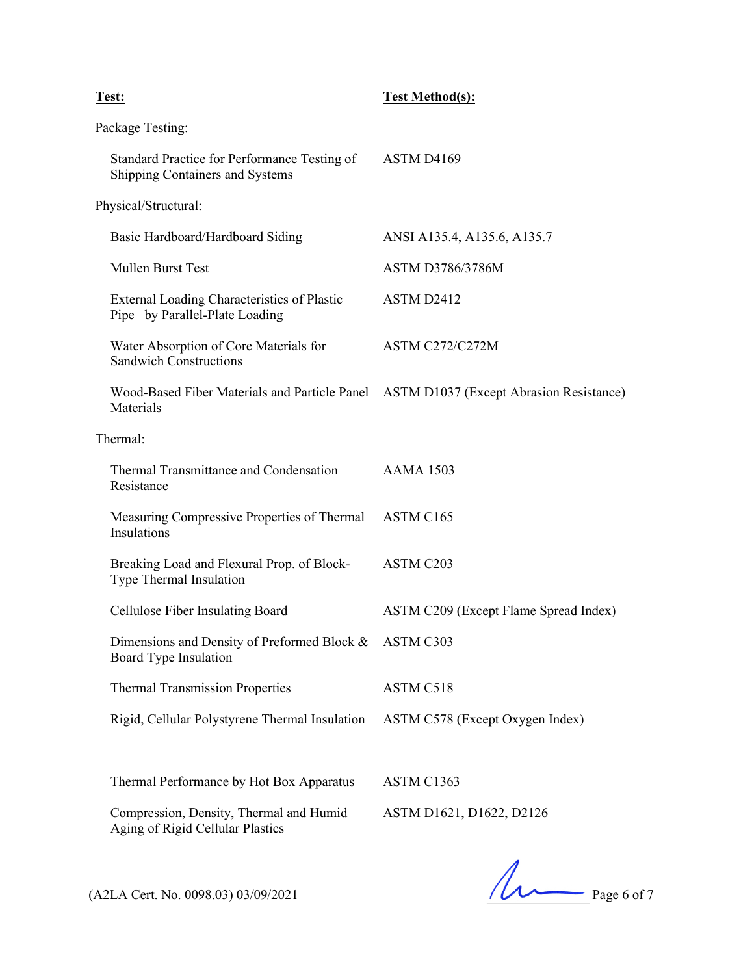## **Test: Test Method(s):**  Package Testing: Standard Practice for Performance Testing of Shipping Containers and Systems ASTM D4169 Physical/Structural: Basic Hardboard/Hardboard Siding ANSI A135.4, A135.6, A135.7 Mullen Burst Test ASTM D3786/3786M External Loading Characteristics of Plastic Pipe by Parallel-Plate Loading ASTM D2412 Water Absorption of Core Materials for Sandwich Constructions ASTM C272/C272M Wood-Based Fiber Materials and Particle Panel ASTM D1037 (Except Abrasion Resistance) Materials

Thermal:

| Thermal Transmittance and Condensation<br>Resistance                           | AAMA 1503                             |
|--------------------------------------------------------------------------------|---------------------------------------|
| Measuring Compressive Properties of Thermal ASTM C165<br>Insulations           |                                       |
| Breaking Load and Flexural Prop. of Block-<br>Type Thermal Insulation          | ASTM C <sub>203</sub>                 |
| Cellulose Fiber Insulating Board                                               | ASTM C209 (Except Flame Spread Index) |
| Dimensions and Density of Preformed Block & ASTM C303<br>Board Type Insulation |                                       |
| <b>Thermal Transmission Properties</b>                                         | ASTM C518                             |
| Rigid, Cellular Polystyrene Thermal Insulation                                 | ASTM C578 (Except Oxygen Index)       |

Thermal Performance by Hot Box Apparatus ASTM C1363 Compression, Density, Thermal and Humid

Aging of Rigid Cellular Plastics

ASTM D1621, D1622, D2126

 $(A2LA$  Cert. No. 0098.03) 03/09/2021 Page 6 of 7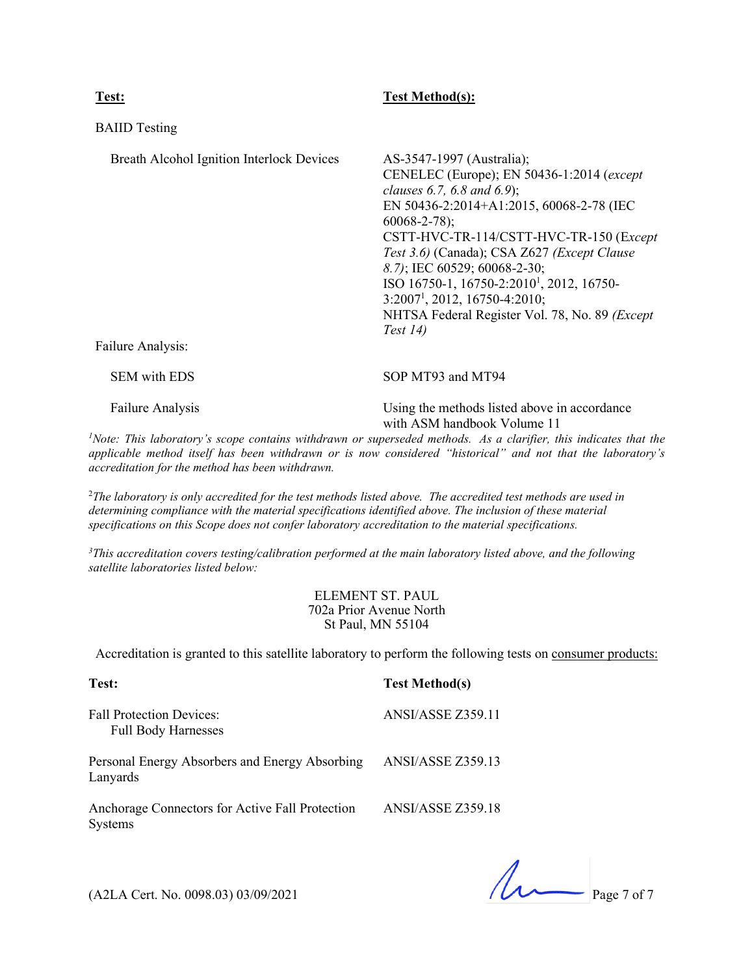#### **Test: Test Method(s):**

| <b>BAIID</b> Testing                                           |                                                                                                                                                                                                                                                                                                                                                                                                                                                              |
|----------------------------------------------------------------|--------------------------------------------------------------------------------------------------------------------------------------------------------------------------------------------------------------------------------------------------------------------------------------------------------------------------------------------------------------------------------------------------------------------------------------------------------------|
| Breath Alcohol Ignition Interlock Devices<br>Failure Analysis: | AS-3547-1997 (Australia);<br>CENELEC (Europe); EN 50436-1:2014 (except<br>clauses 6.7, 6.8 and 6.9);<br>EN 50436-2:2014+A1:2015, 60068-2-78 (IEC<br>$60068 - 2 - 78$ ;<br>CSTT-HVC-TR-114/CSTT-HVC-TR-150 (Except<br>Test 3.6) (Canada); CSA Z627 (Except Clause<br>8.7); IEC 60529; 60068-2-30;<br>ISO 16750-1, 16750-2:2010 <sup>1</sup> , 2012, 16750-<br>$3:20071$ , 2012, 16750-4:2010;<br>NHTSA Federal Register Vol. 78, No. 89 (Except<br>Test $14)$ |
| <b>SEM</b> with EDS                                            | SOP MT93 and MT94                                                                                                                                                                                                                                                                                                                                                                                                                                            |
| Failure Analysis                                               | Using the methods listed above in accordance<br>with ASM handbook Volume 11                                                                                                                                                                                                                                                                                                                                                                                  |

*1 Note: This laboratory's scope contains withdrawn or superseded methods. As a clarifier, this indicates that the applicable method itself has been withdrawn or is now considered "historical" and not that the laboratory's accreditation for the method has been withdrawn.*

2 *The laboratory is only accredited for the test methods listed above. The accredited test methods are used in determining compliance with the material specifications identified above. The inclusion of these material specifications on this Scope does not confer laboratory accreditation to the material specifications.*

*3 This accreditation covers testing/calibration performed at the main laboratory listed above, and the following satellite laboratories listed below:*

> ELEMENT ST. PAUL 702a Prior Avenue North St Paul, MN 55104

Accreditation is granted to this satellite laboratory to perform the following tests on consumer products:

| Test:                                                             | <b>Test Method(s)</b>    |
|-------------------------------------------------------------------|--------------------------|
| <b>Fall Protection Devices:</b><br><b>Full Body Harnesses</b>     | ANSI/ASSE Z359.11        |
| Personal Energy Absorbers and Energy Absorbing<br>Lanyards        | ANSI/ASSE Z359.13        |
| Anchorage Connectors for Active Fall Protection<br><b>Systems</b> | <b>ANSI/ASSE Z359.18</b> |

 $($ A2LA Cert. No. 0098.03) 03/09/2021 Page 7 of 7